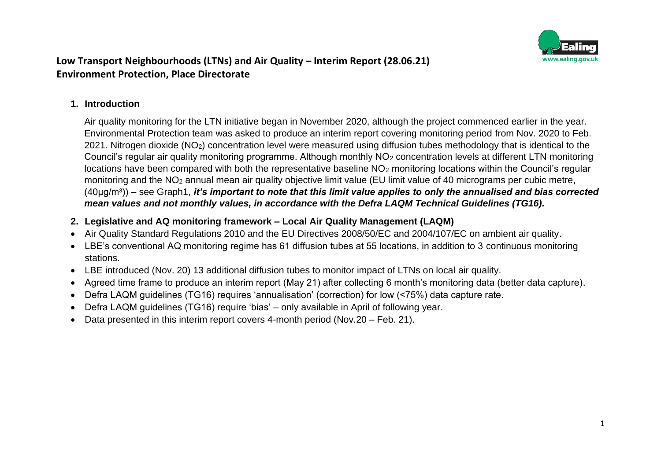

#### **1. Introduction**

Air quality monitoring for the LTN initiative began in November 2020, although the project commenced earlier in the year. Environmental Protection team was asked to produce an interim report covering monitoring period from Nov. 2020 to Feb. 2021. Nitrogen dioxide (NO2) concentration level were measured using diffusion tubes methodology that is identical to the Council's regular air quality monitoring programme. Although monthly NO<sup>2</sup> concentration levels at different LTN monitoring locations have been compared with both the representative baseline NO<sub>2</sub> monitoring locations within the Council's regular monitoring and the NO<sup>2</sup> annual mean air quality objective limit value (EU limit value of 40 micrograms per cubic metre, (40µɡ/m³)) – see Graph1, *it's important to note that this limit value applies to only the annualised and bias corrected mean values and not monthly values, in accordance with the Defra LAQM Technical Guidelines (TG16).*

#### **2. Legislative and AQ monitoring framework – Local Air Quality Management (LAQM)**

- Air Quality Standard Regulations 2010 and the EU Directives 2008/50/EC and 2004/107/EC on ambient air quality.
- LBE's conventional AQ monitoring regime has 61 diffusion tubes at 55 locations, in addition to 3 continuous monitoring stations.
- LBE introduced (Nov. 20) 13 additional diffusion tubes to monitor impact of LTNs on local air quality.
- Agreed time frame to produce an interim report (May 21) after collecting 6 month's monitoring data (better data capture).
- Defra LAQM guidelines (TG16) requires 'annualisation' (correction) for low (<75%) data capture rate.
- Defra LAQM guidelines (TG16) require 'bias' only available in April of following year.
- Data presented in this interim report covers 4-month period (Nov.20 Feb. 21).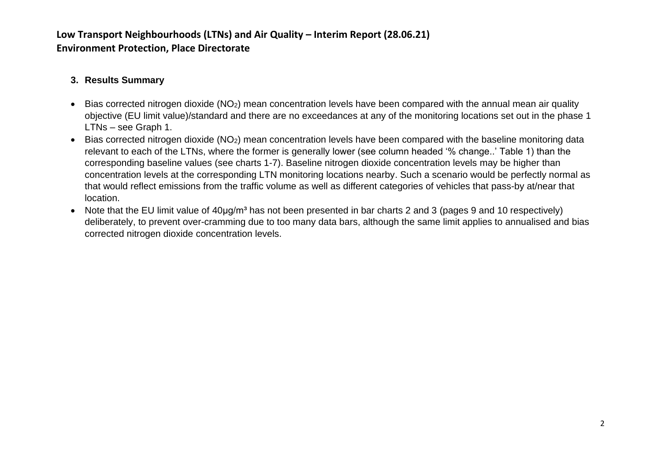#### **3. Results Summary**

- Bias corrected nitrogen dioxide (NO2) mean concentration levels have been compared with the annual mean air quality objective (EU limit value)/standard and there are no exceedances at any of the monitoring locations set out in the phase 1 LTNs – see Graph 1.
- Bias corrected nitrogen dioxide (NO<sub>2</sub>) mean concentration levels have been compared with the baseline monitoring data relevant to each of the LTNs, where the former is generally lower (see column headed '% change..' Table 1) than the corresponding baseline values (see charts 1-7). Baseline nitrogen dioxide concentration levels may be higher than concentration levels at the corresponding LTN monitoring locations nearby. Such a scenario would be perfectly normal as that would reflect emissions from the traffic volume as well as different categories of vehicles that pass-by at/near that location.
- Note that the EU limit value of 40µg/m<sup>3</sup> has not been presented in bar charts 2 and 3 (pages 9 and 10 respectively) deliberately, to prevent over-cramming due to too many data bars, although the same limit applies to annualised and bias corrected nitrogen dioxide concentration levels.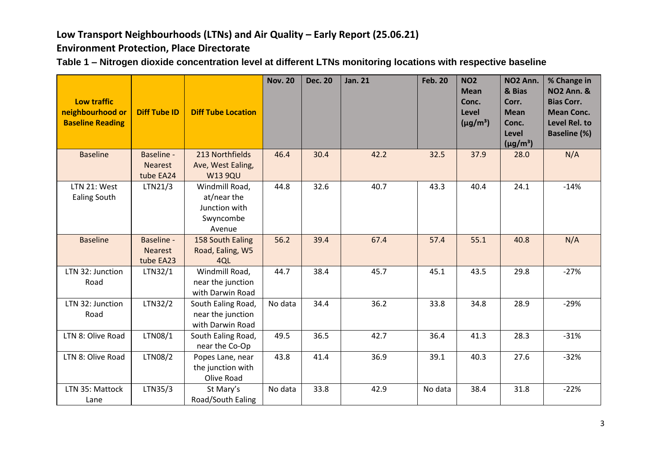# Low Transport Neighbourhoods (LTNs) and Air Quality – Early Report (25.06.21)

**Environment Protection, Place Directorate**

| Table 1 - Nitrogen dioxide concentration level at different LTNs monitoring locations with respective baseline |
|----------------------------------------------------------------------------------------------------------------|
|----------------------------------------------------------------------------------------------------------------|

| <b>Low traffic</b><br>neighbourhood or<br><b>Baseline Reading</b> | <b>Diff Tube ID</b>                              | <b>Diff Tube Location</b>                                             | <b>Nov. 20</b> | <b>Dec. 20</b> | <b>Jan. 21</b> | <b>Feb. 20</b> | <b>NO2</b><br><b>Mean</b><br>Conc.<br>Level<br>$(\mu g/m^3)$ | NO <sub>2</sub> Ann.<br>& Bias<br>Corr.<br><b>Mean</b><br>Conc.<br>Level<br>$(\mu g/m^3)$ | % Change in<br><b>NO2 Ann. &amp;</b><br><b>Bias Corr.</b><br><b>Mean Conc.</b><br>Level Rel. to<br><b>Baseline (%)</b> |
|-------------------------------------------------------------------|--------------------------------------------------|-----------------------------------------------------------------------|----------------|----------------|----------------|----------------|--------------------------------------------------------------|-------------------------------------------------------------------------------------------|------------------------------------------------------------------------------------------------------------------------|
| <b>Baseline</b>                                                   | Baseline -<br><b>Nearest</b><br>tube EA24        | 213 Northfields<br>Ave, West Ealing,<br><b>W13 9QU</b>                | 46.4           | 30.4           | 42.2           | 32.5           | 37.9                                                         | 28.0                                                                                      | N/A                                                                                                                    |
| LTN 21: West<br><b>Ealing South</b>                               | LTN21/3                                          | Windmill Road,<br>at/near the<br>Junction with<br>Swyncombe<br>Avenue | 44.8           | 32.6           | 40.7           | 43.3           | 40.4                                                         | 24.1                                                                                      | $-14%$                                                                                                                 |
| <b>Baseline</b>                                                   | <b>Baseline -</b><br><b>Nearest</b><br>tube EA23 | 158 South Ealing<br>Road, Ealing, W5<br>4QL                           | 56.2           | 39.4           | 67.4           | 57.4           | 55.1                                                         | 40.8                                                                                      | N/A                                                                                                                    |
| LTN 32: Junction<br>Road                                          | LTN32/1                                          | Windmill Road,<br>near the junction<br>with Darwin Road               | 44.7           | 38.4           | 45.7           | 45.1           | 43.5                                                         | 29.8                                                                                      | $-27%$                                                                                                                 |
| LTN 32: Junction<br>Road                                          | LTN32/2                                          | South Ealing Road,<br>near the junction<br>with Darwin Road           | No data        | 34.4           | 36.2           | 33.8           | 34.8                                                         | 28.9                                                                                      | $-29%$                                                                                                                 |
| LTN 8: Olive Road                                                 | LTN08/1                                          | South Ealing Road,<br>near the Co-Op                                  | 49.5           | 36.5           | 42.7           | 36.4           | 41.3                                                         | 28.3                                                                                      | $-31%$                                                                                                                 |
| LTN 8: Olive Road                                                 | LTN08/2                                          | Popes Lane, near<br>the junction with<br>Olive Road                   | 43.8           | 41.4           | 36.9           | 39.1           | 40.3                                                         | 27.6                                                                                      | $-32%$                                                                                                                 |
| LTN 35: Mattock<br>Lane                                           | LTN35/3                                          | St Mary's<br>Road/South Ealing                                        | No data        | 33.8           | 42.9           | No data        | 38.4                                                         | 31.8                                                                                      | $-22%$                                                                                                                 |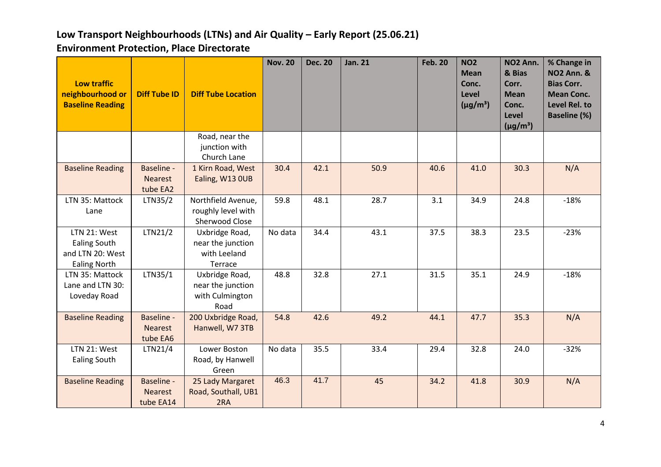| <b>Low traffic</b><br>neighbourhood or<br><b>Baseline Reading</b>              | <b>Diff Tube ID</b>                       | <b>Diff Tube Location</b>                                      | <b>Nov. 20</b> | <b>Dec. 20</b> | <b>Jan. 21</b> | <b>Feb. 20</b> | <b>NO2</b><br><b>Mean</b><br>Conc.<br>Level<br>$(\mu g/m^3)$ | NO <sub>2</sub> Ann.<br>& Bias<br>Corr.<br><b>Mean</b><br>Conc.<br><b>Level</b><br>$(\mu g/m^3)$ | % Change in<br><b>NO2 Ann. &amp;</b><br><b>Bias Corr.</b><br><b>Mean Conc.</b><br>Level Rel. to<br><b>Baseline (%)</b> |
|--------------------------------------------------------------------------------|-------------------------------------------|----------------------------------------------------------------|----------------|----------------|----------------|----------------|--------------------------------------------------------------|--------------------------------------------------------------------------------------------------|------------------------------------------------------------------------------------------------------------------------|
|                                                                                |                                           | Road, near the<br>junction with<br>Church Lane                 |                |                |                |                |                                                              |                                                                                                  |                                                                                                                        |
| <b>Baseline Reading</b>                                                        | Baseline -<br><b>Nearest</b><br>tube EA2  | 1 Kirn Road, West<br>Ealing, W13 OUB                           | 30.4           | 42.1           | 50.9           | 40.6           | 41.0                                                         | 30.3                                                                                             | N/A                                                                                                                    |
| LTN 35: Mattock<br>Lane                                                        | LTN35/2                                   | Northfield Avenue,<br>roughly level with<br>Sherwood Close     | 59.8           | 48.1           | 28.7           | 3.1            | 34.9                                                         | 24.8                                                                                             | $-18%$                                                                                                                 |
| LTN 21: West<br><b>Ealing South</b><br>and LTN 20: West<br><b>Ealing North</b> | LTN21/2                                   | Uxbridge Road,<br>near the junction<br>with Leeland<br>Terrace | No data        | 34.4           | 43.1           | 37.5           | 38.3                                                         | 23.5                                                                                             | $-23%$                                                                                                                 |
| LTN 35: Mattock<br>Lane and LTN 30:<br>Loveday Road                            | LTN35/1                                   | Uxbridge Road,<br>near the junction<br>with Culmington<br>Road | 48.8           | 32.8           | 27.1           | 31.5           | 35.1                                                         | 24.9                                                                                             | $-18%$                                                                                                                 |
| <b>Baseline Reading</b>                                                        | Baseline -<br><b>Nearest</b><br>tube EA6  | 200 Uxbridge Road,<br>Hanwell, W7 3TB                          | 54.8           | 42.6           | 49.2           | 44.1           | 47.7                                                         | 35.3                                                                                             | N/A                                                                                                                    |
| LTN 21: West<br><b>Ealing South</b>                                            | LTN21/4                                   | Lower Boston<br>Road, by Hanwell<br>Green                      | No data        | 35.5           | 33.4           | 29.4           | 32.8                                                         | 24.0                                                                                             | $-32%$                                                                                                                 |
| <b>Baseline Reading</b>                                                        | Baseline -<br><b>Nearest</b><br>tube EA14 | 25 Lady Margaret<br>Road, Southall, UB1<br>2RA                 | 46.3           | 41.7           | 45             | 34.2           | 41.8                                                         | 30.9                                                                                             | N/A                                                                                                                    |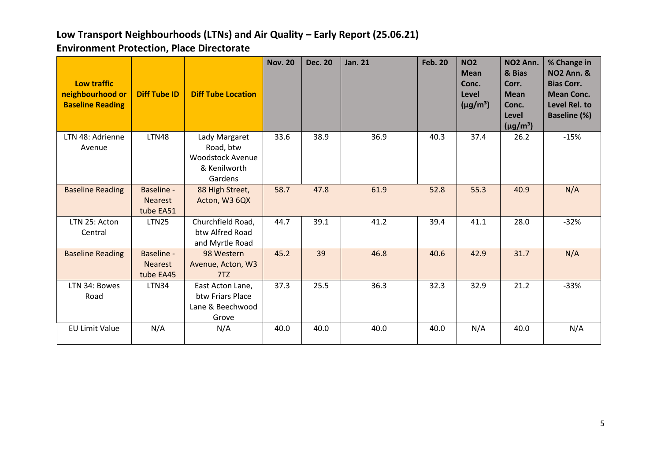| <b>Low traffic</b><br>neighbourhood or<br><b>Baseline Reading</b> | <b>Diff Tube ID</b>                              | <b>Diff Tube Location</b>                                                        | <b>Nov. 20</b> | <b>Dec. 20</b> | <b>Jan. 21</b> | <b>Feb. 20</b> | <b>NO2</b><br><b>Mean</b><br>Conc.<br>Level<br>$(\mu g/m^3)$ | NO <sub>2</sub> Ann.<br>& Bias<br>Corr.<br><b>Mean</b><br>Conc.<br>Level<br>$(\mu g/m^3)$ | % Change in<br><b>NO2 Ann. &amp;</b><br><b>Bias Corr.</b><br><b>Mean Conc.</b><br>Level Rel. to<br><b>Baseline (%)</b> |
|-------------------------------------------------------------------|--------------------------------------------------|----------------------------------------------------------------------------------|----------------|----------------|----------------|----------------|--------------------------------------------------------------|-------------------------------------------------------------------------------------------|------------------------------------------------------------------------------------------------------------------------|
| LTN 48: Adrienne<br>Avenue                                        | <b>LTN48</b>                                     | Lady Margaret<br>Road, btw<br><b>Woodstock Avenue</b><br>& Kenilworth<br>Gardens | 33.6           | 38.9           | 36.9           | 40.3           | 37.4                                                         | 26.2                                                                                      | $-15%$                                                                                                                 |
| <b>Baseline Reading</b>                                           | Baseline -<br><b>Nearest</b><br>tube EA51        | 88 High Street,<br>Acton, W3 6QX                                                 | 58.7           | 47.8           | 61.9           | 52.8           | 55.3                                                         | 40.9                                                                                      | N/A                                                                                                                    |
| LTN 25: Acton<br>Central                                          | <b>LTN25</b>                                     | Churchfield Road,<br>btw Alfred Road<br>and Myrtle Road                          | 44.7           | 39.1           | 41.2           | 39.4           | 41.1                                                         | 28.0                                                                                      | $-32%$                                                                                                                 |
| <b>Baseline Reading</b>                                           | <b>Baseline -</b><br><b>Nearest</b><br>tube EA45 | 98 Western<br>Avenue, Acton, W3<br>7TZ                                           | 45.2           | 39             | 46.8           | 40.6           | 42.9                                                         | 31.7                                                                                      | N/A                                                                                                                    |
| LTN 34: Bowes<br>Road                                             | <b>LTN34</b>                                     | East Acton Lane,<br>btw Friars Place<br>Lane & Beechwood<br>Grove                | 37.3           | 25.5           | 36.3           | 32.3           | 32.9                                                         | 21.2                                                                                      | $-33%$                                                                                                                 |
| <b>EU Limit Value</b>                                             | N/A                                              | N/A                                                                              | 40.0           | 40.0           | 40.0           | 40.0           | N/A                                                          | 40.0                                                                                      | N/A                                                                                                                    |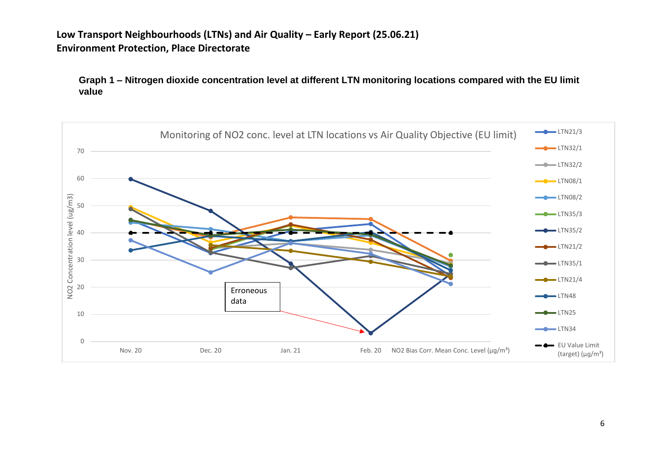**Graph 1 – Nitrogen dioxide concentration level at different LTN monitoring locations compared with the EU limit value**

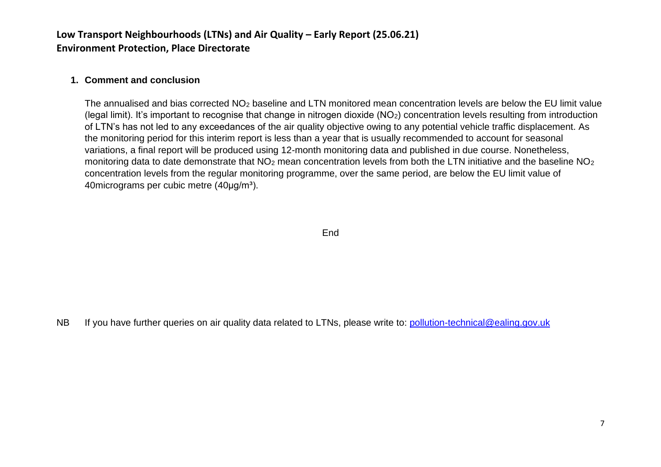#### **1. Comment and conclusion**

The annualised and bias corrected NO<sub>2</sub> baseline and LTN monitored mean concentration levels are below the EU limit value (legal limit). It's important to recognise that change in nitrogen dioxide  $(NO<sub>2</sub>)$  concentration levels resulting from introduction of LTN's has not led to any exceedances of the air quality objective owing to any potential vehicle traffic displacement. As the monitoring period for this interim report is less than a year that is usually recommended to account for seasonal variations, a final report will be produced using 12-month monitoring data and published in due course. Nonetheless, monitoring data to date demonstrate that  $NO<sub>2</sub>$  mean concentration levels from both the LTN initiative and the baseline  $NO<sub>2</sub>$ concentration levels from the regular monitoring programme, over the same period, are below the EU limit value of 40 micrograms per cubic metre (40 µg/m<sup>3</sup>).

**End** 

NB If you have further queries on air quality data related to LTNs, please write to: [pollution-technical@ealing.gov.uk](mailto:pollution-technical@ealing.gov.uk)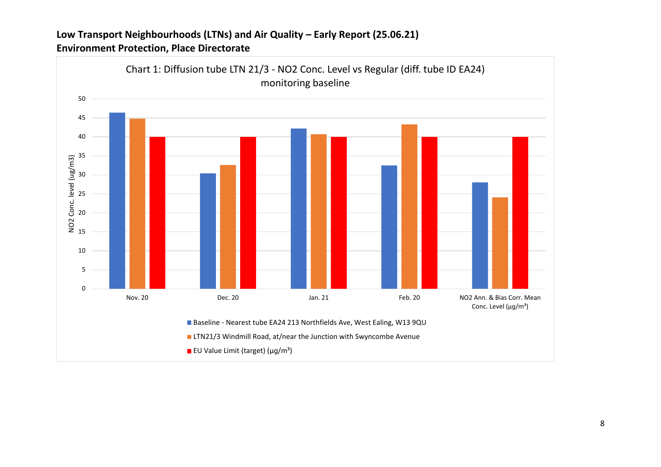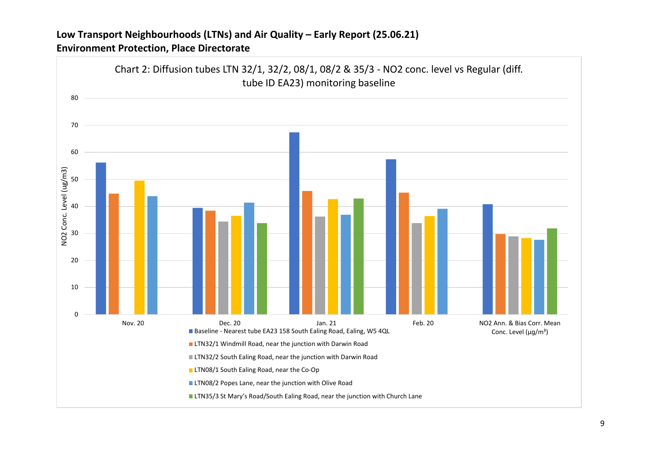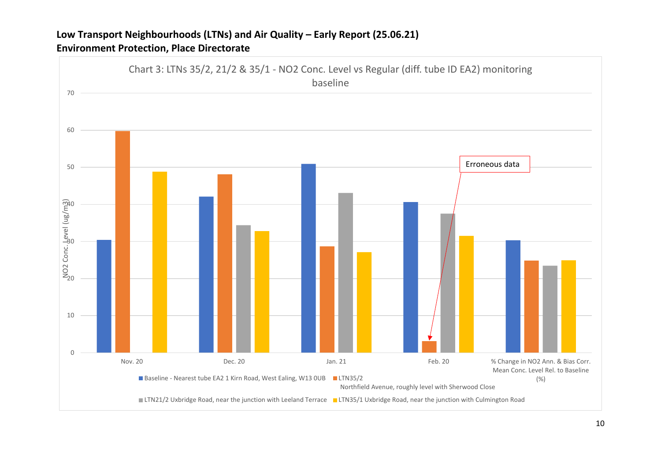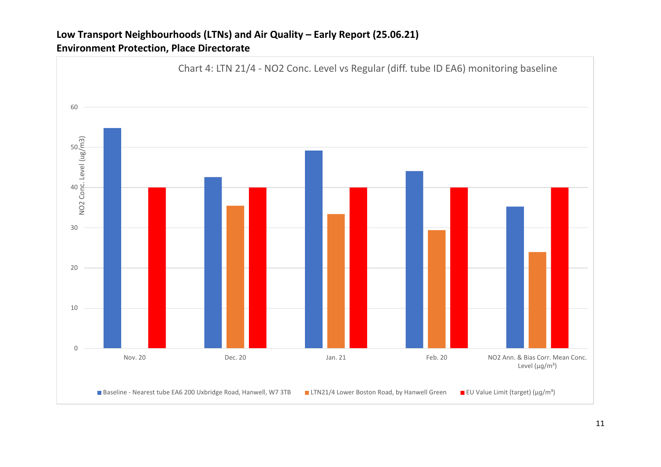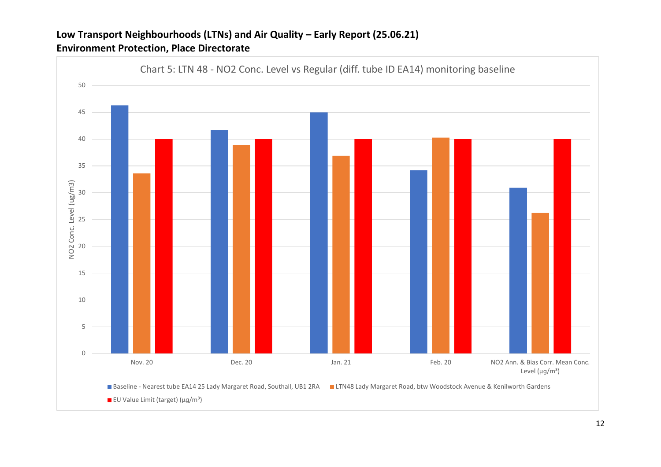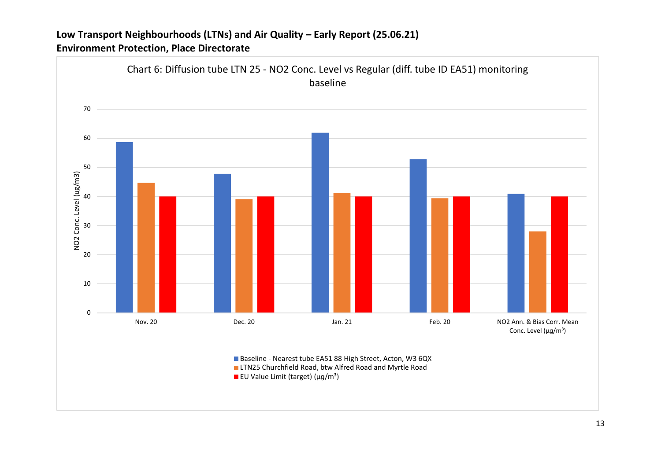